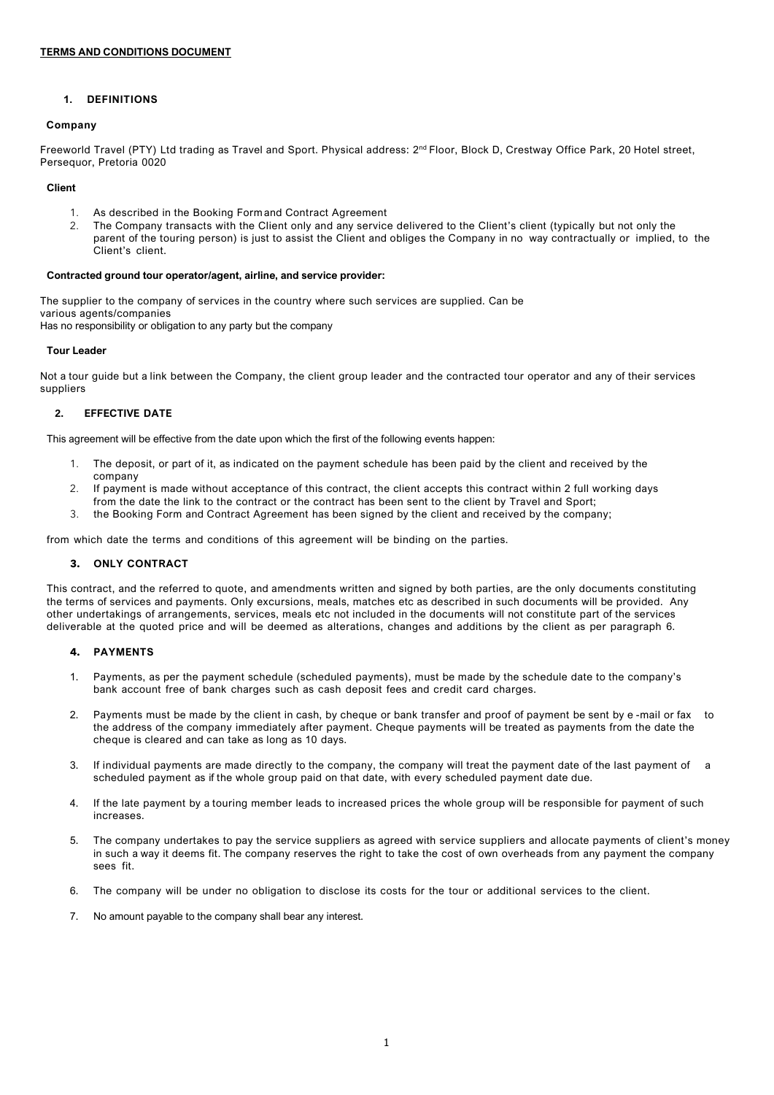#### **1. DEFINITIONS**

#### **Company**

Freeworld Travel (PTY) Ltd trading as Travel and Sport. Physical address: 2<sup>nd</sup> Floor, Block D, Crestway Office Park, 20 Hotel street, Persequor, Pretoria 0020

#### **Client**

- 1. As described in the Booking Form and Contract Agreement<br>2. The Company transacts with the Client only and any service
- 2. The Company transacts with the Client only and any service delivered to the Client's client (typically but not only the parent of the touring person) is just to assist the Client and obliges the Company in no way contractually or implied, to the Client's client.

#### **Contracted ground tour operator/agent, airline, and service provider:**

The supplier to the company of services in the country where such services are supplied. Can be various agents/companies

Has no responsibility or obligation to any party but the company

#### **Tour Leader**

Not a tour guide but a link between the Company, the client group leader and the contracted tour operator and any of their services suppliers

# **2. EFFECTIVE DATE**

This agreement will be effective from the date upon which the first of the following events happen:

- 1. The deposit, or part of it, as indicated on the payment schedule has been paid by the client and received by the company
- 2. If payment is made without acceptance of this contract, the client accepts this contract within 2 full working days from the date the link to the contract or the contract has been sent to the client by Travel and Sport;
- 3. the Booking Form and Contract Agreement has been signed by the client and received by the company;

from which date the terms and conditions of this agreement will be binding on the parties.

#### **3. ONLY CONTRACT**

This contract, and the referred to quote, and amendments written and signed by both parties, are the only documents constituting the terms of services and payments. Only excursions, meals, matches etc as described in such documents will be provided. Any other undertakings of arrangements, services, meals etc not included in the documents will not constitute part of the services deliverable at the quoted price and will be deemed as alterations, changes and additions by the client as per paragraph 6.

#### **4. PAYMENTS**

- 1. Payments, as per the payment schedule (scheduled payments), must be made by the schedule date to the company's bank account free of bank charges such as cash deposit fees and credit card charges.
- 2. Payments must be made by the client in cash, by cheque or bank transfer and proof of payment be sent by e-mail or fax the address of the company immediately after payment. Cheque payments will be treated as payments from the date the cheque is cleared and can take as long as 10 days.
- 3. If individual payments are made directly to the company, the company will treat the payment date of the last payment of a scheduled payment as if the whole group paid on that date, with every scheduled payment date due.
- 4. If the late payment by a touring member leads to increased prices the whole group will be responsible for payment of such increases.
- 5. The company undertakes to pay the service suppliers as agreed with service suppliers and allocate payments of client's money in such a way it deems fit. The company reserves the right to take the cost of own overheads from any payment the company sees fit.
- 6. The company will be under no obligation to disclose its costs for the tour or additional services to the client.
- 7. No amount payable to the company shall bear any interest.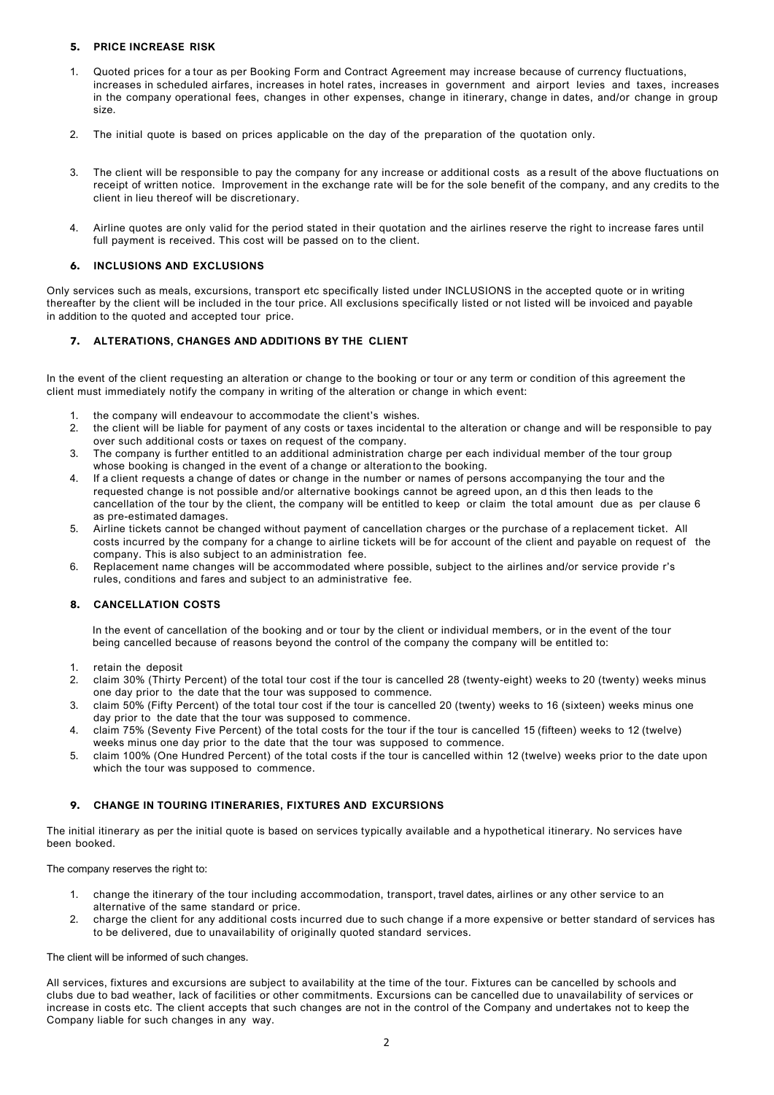# **5. PRICE INCREASE RISK**

- 1. Quoted prices for a tour as per Booking Form and Contract Agreement may increase because of currency fluctuations, increases in scheduled airfares, increases in hotel rates, increases in government and airport levies and taxes, increases in the company operational fees, changes in other expenses, change in itinerary, change in dates, and/or change in group size.
- 2. The initial quote is based on prices applicable on the day of the preparation of the quotation only.
- 3. The client will be responsible to pay the company for any increase or additional costs as a result of the above fluctuations on receipt of written notice. Improvement in the exchange rate will be for the sole benefit of the company, and any credits to the client in lieu thereof will be discretionary.
- 4. Airline quotes are only valid for the period stated in their quotation and the airlines reserve the right to increase fares until full payment is received. This cost will be passed on to the client.

# **6. INCLUSIONS AND EXCLUSIONS**

Only services such as meals, excursions, transport etc specifically listed under INCLUSIONS in the accepted quote or in writing thereafter by the client will be included in the tour price. All exclusions specifically listed or not listed will be invoiced and payable in addition to the quoted and accepted tour price.

# **7. ALTERATIONS, CHANGES AND ADDITIONS BY THE CLIENT**

In the event of the client requesting an alteration or change to the booking or tour or any term or condition of this agreement the client must immediately notify the company in writing of the alteration or change in which event:

- the company will endeavour to accommodate the client's wishes.
- 2. the client will be liable for payment of any costs or taxes incidental to the alteration or change and will be responsible to pay over such additional costs or taxes on request of the company.
- 3. The company is further entitled to an additional administration charge per each individual member of the tour group whose booking is changed in the event of a change or alteration to the booking.
- 4. If a client requests a change of dates or change in the number or names of persons accompanying the tour and the requested change is not possible and/or alternative bookings cannot be agreed upon, an d this then leads to the cancellation of the tour by the client, the company will be entitled to keep or claim the total amount due as per clause 6 as pre-estimated damages.
- 5. Airline tickets cannot be changed without payment of cancellation charges or the purchase of a replacement ticket. All costs incurred by the company for a change to airline tickets will be for account of the client and payable on request of the company. This is also subject to an administration fee.
- 6. Replacement name changes will be accommodated where possible, subject to the airlines and/or service provide r's rules, conditions and fares and subject to an administrative fee.

# **8. CANCELLATION COSTS**

In the event of cancellation of the booking and or tour by the client or individual members, or in the event of the tour being cancelled because of reasons beyond the control of the company the company will be entitled to:

- 1. retain the deposit
- 2. claim 30% (Thirty Percent) of the total tour cost if the tour is cancelled 28 (twenty-eight) weeks to 20 (twenty) weeks minus one day prior to the date that the tour was supposed to commence.
- 3. claim 50% (Fifty Percent) of the total tour cost if the tour is cancelled 20 (twenty) weeks to 16 (sixteen) weeks minus one day prior to the date that the tour was supposed to commence.
- 4. claim 75% (Seventy Five Percent) of the total costs for the tour if the tour is cancelled 15 (fifteen) weeks to 12 (twelve) weeks minus one day prior to the date that the tour was supposed to commence.
- 5. claim 100% (One Hundred Percent) of the total costs if the tour is cancelled within 12 (twelve) weeks prior to the date upon which the tour was supposed to commence.

# **9. CHANGE IN TOURING ITINERARIES, FIXTURES AND EXCURSIONS**

The initial itinerary as per the initial quote is based on services typically available and a hypothetical itinerary. No services have been booked.

The company reserves the right to:

- 1. change the itinerary of the tour including accommodation, transport, travel dates, airlines or any other service to an alternative of the same standard or price.
- 2. charge the client for any additional costs incurred due to such change if a more expensive or better standard of services has to be delivered, due to unavailability of originally quoted standard services.

#### The client will be informed of such changes.

All services, fixtures and excursions are subject to availability at the time of the tour. Fixtures can be cancelled by schools and clubs due to bad weather, lack of facilities or other commitments. Excursions can be cancelled due to unavailability of services or increase in costs etc. The client accepts that such changes are not in the control of the Company and undertakes not to keep the Company liable for such changes in any way.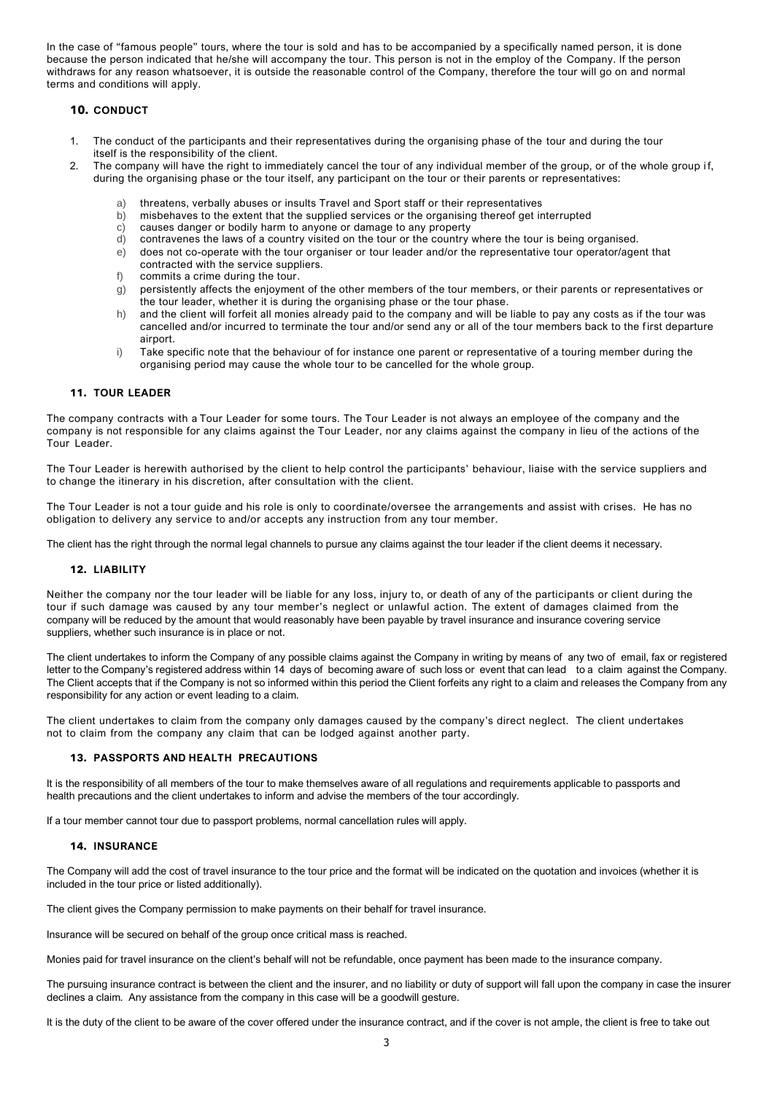In the case of "famous people" tours, where the tour is sold and has to be accompanied by a specifically named person, it is done because the person indicated that he/she will accompany the tour. This person is not in the employ of the Company. If the person withdraws for any reason whatsoever, it is outside the reasonable control of the Company, therefore the tour will go on and normal terms and conditions will apply.

# **10. CONDUCT**

- 1. The conduct of the participants and their representatives during the organising phase of the tour and during the tour itself is the responsibility of the client.
- 2. The company will have the right to immediately cancel the tour of any individual member of the group, or of the whole group if, during the organising phase or the tour itself, any participant on the tour or their parents or representatives:
	-
	- a) threatens, verbally abuses or insults Travel and Sport staff or their representatives b) misbehaves to the extent that the supplied services or the organising thereof get in b) misbehaves to the extent that the supplied services or the organising thereof get interrupted
	- c) causes danger or bodily harm to anyone or damage to any property<br>d) contravenes the laws of a country visited on the tour or the country
	- d) contravenes the laws of a country visited on the tour or the country where the tour is being organised.<br>e) does not co-operate with the tour organiser or tour leader and/or the representative tour operator/age
	- does not co-operate with the tour organiser or tour leader and/or the representative tour operator/agent that contracted with the service suppliers.
	- f) commits a crime during the tour.
	- g) persistently affects the enjoyment of the other members of the tour members, or their parents or representatives or the tour leader, whether it is during the organising phase or the tour phase.
	- h) and the client will forfeit all monies already paid to the company and will be liable to pay any costs as if the tour was cancelled and/or incurred to terminate the tour and/or send any or all of the tour members back to the first departure airport
	- i) Take specific note that the behaviour of for instance one parent or representative of a touring member during the organising period may cause the whole tour to be cancelled for the whole group.

#### **11. TOUR LEADER**

The company contracts with a Tour Leader for some tours. The Tour Leader is not always an employee of the company and the company is not responsible for any claims against the Tour Leader, nor any claims against the company in lieu of the actions of the Tour Leader.

The Tour Leader is herewith authorised by the client to help control the participants' behaviour, liaise with the service suppliers and to change the itinerary in his discretion, after consultation with the client.

The Tour Leader is not a tour guide and his role is only to coordinate/oversee the arrangements and assist with crises. He has no obligation to delivery any service to and/or accepts any instruction from any tour member.

The client has the right through the normal legal channels to pursue any claims against the tour leader if the client deems it necessary.

#### **12. LIABILITY**

Neither the company nor the tour leader will be liable for any loss, injury to, or death of any of the participants or client during the tour if such damage was caused by any tour member's neglect or unlawful action. The extent of damages claimed from the company will be reduced by the amount that would reasonably have been payable by travel insurance and insurance covering service suppliers, whether such insurance is in place or not.

The client undertakes to inform the Company of any possible claims against the Company in writing by means of any two of email, fax or registered letter to the Company's registered address within 14 days of becoming aware of such loss or event that can lead to a claim against the Company. The Client accepts that if the Company is not so informed within this period the Client forfeits any right to a claim and releases the Company from any responsibility for any action or event leading to a claim.

The client undertakes to claim from the company only damages caused by the company's direct neglect. The client undertakes not to claim from the company any claim that can be lodged against another party.

#### **13. PASSPORTS AND HEALTH PRECAUTIONS**

It is the responsibility of all members of the tour to make themselves aware of all regulations and requirements applicable to passports and health precautions and the client undertakes to inform and advise the members of the tour accordingly.

If a tour member cannot tour due to passport problems, normal cancellation rules will apply.

#### **14. INSURANCE**

The Company will add the cost of travel insurance to the tour price and the format will be indicated on the quotation and invoices (whether it is included in the tour price or listed additionally).

The client gives the Company permission to make payments on their behalf for travel insurance.

Insurance will be secured on behalf of the group once critical mass is reached.

Monies paid for travel insurance on the client's behalf will not be refundable, once payment has been made to the insurance company.

The pursuing insurance contract is between the client and the insurer, and no liability or duty of support will fall upon the company in case the insurer declines a claim. Any assistance from the company in this case will be a goodwill gesture.

It is the duty of the client to be aware of the cover offered under the insurance contract, and if the cover is not ample, the client is free to take out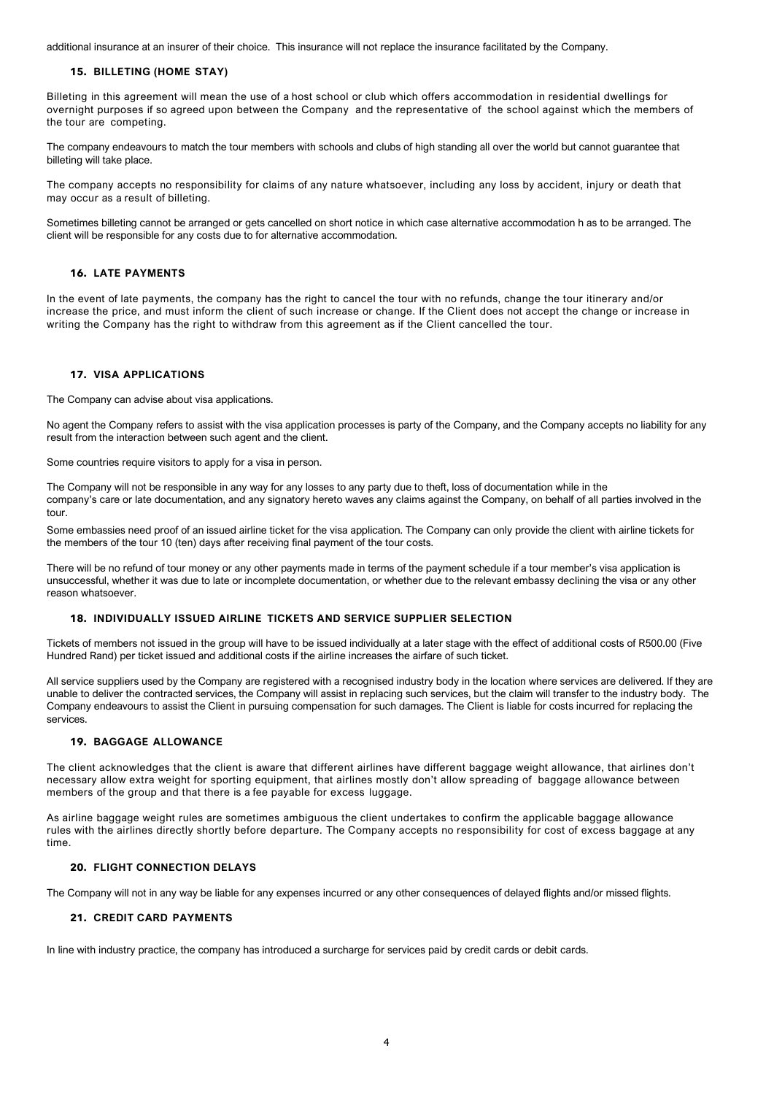additional insurance at an insurer of their choice. This insurance will not replace the insurance facilitated by the Company.

#### **15. BILLETING (HOME STAY)**

Billeting in this agreement will mean the use of a host school or club which offers accommodation in residential dwellings for overnight purposes if so agreed upon between the Company and the representative of the school against which the members of the tour are competing.

The company endeavours to match the tour members with schools and clubs of high standing all over the world but cannot guarantee that billeting will take place.

The company accepts no responsibility for claims of any nature whatsoever, including any loss by accident, injury or death that may occur as a result of billeting.

Sometimes billeting cannot be arranged or gets cancelled on short notice in which case alternative accommodation h as to be arranged. The client will be responsible for any costs due to for alternative accommodation.

#### **16. LATE PAYMENTS**

In the event of late payments, the company has the right to cancel the tour with no refunds, change the tour itinerary and/or increase the price, and must inform the client of such increase or change. If the Client does not accept the change or increase in writing the Company has the right to withdraw from this agreement as if the Client cancelled the tour.

#### **17. VISA APPLICATIONS**

The Company can advise about visa applications.

No agent the Company refers to assist with the visa application processes is party of the Company, and the Company accepts no liability for any result from the interaction between such agent and the client.

Some countries require visitors to apply for a visa in person.

The Company will not be responsible in any way for any losses to any party due to theft, loss of documentation while in the company's care or late documentation, and any signatory hereto waves any claims against the Company, on behalf of all parties involved in the tour.

Some embassies need proof of an issued airline ticket for the visa application. The Company can only provide the client with airline tickets for the members of the tour 10 (ten) days after receiving final payment of the tour costs.

There will be no refund of tour money or any other payments made in terms of the payment schedule if a tour member's visa application is unsuccessful, whether it was due to late or incomplete documentation, or whether due to the relevant embassy declining the visa or any other reason whatsoever.

# **18. INDIVIDUALLY ISSUED AIRLINE TICKETS AND SERVICE SUPPLIER SELECTION**

Tickets of members not issued in the group will have to be issued individually at a later stage with the effect of additional costs of R500.00 (Five Hundred Rand) per ticket issued and additional costs if the airline increases the airfare of such ticket.

All service suppliers used by the Company are registered with a recognised industry body in the location where services are delivered. If they are unable to deliver the contracted services, the Company will assist in replacing such services, but the claim will transfer to the industry body. The Company endeavours to assist the Client in pursuing compensation for such damages. The Client is liable for costs incurred for replacing the services.

#### **19. BAGGAGE ALLOWANCE**

The client acknowledges that the client is aware that different airlines have different baggage weight allowance, that airlines don't necessary allow extra weight for sporting equipment, that airlines mostly don't allow spreading of baggage allowance between members of the group and that there is a fee payable for excess luggage.

As airline baggage weight rules are sometimes ambiguous the client undertakes to confirm the applicable baggage allowance rules with the airlines directly shortly before departure. The Company accepts no responsibility for cost of excess baggage at any time.

#### **20. FLIGHT CONNECTION DELAYS**

The Company will not in any way be liable for any expenses incurred or any other consequences of delayed flights and/or missed flights.

### **21. CREDIT CARD PAYMENTS**

In line with industry practice, the company has introduced a surcharge for services paid by credit cards or debit cards.